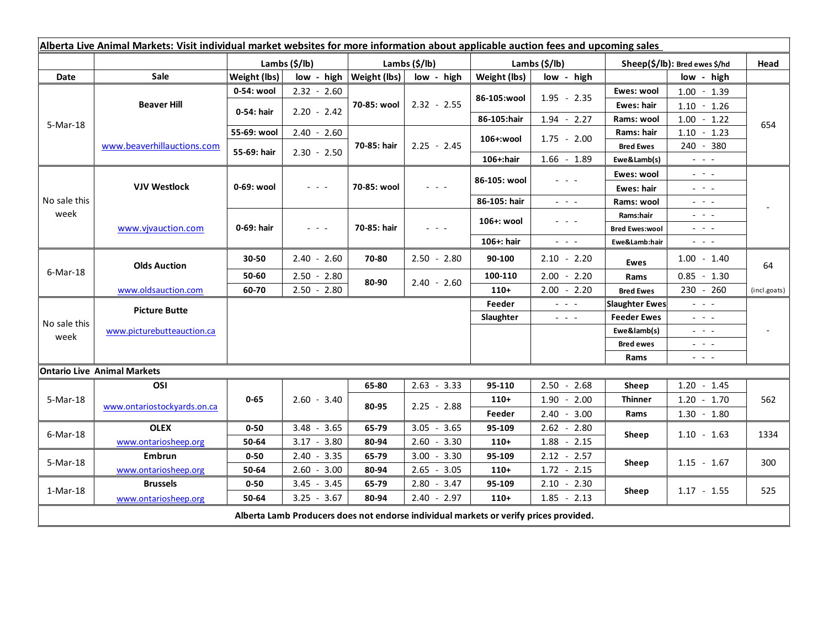| Alberta Live Animal Markets: Visit individual market websites for more information about applicable auction fees and upcoming sales |                                    |                           |                                                                                                                           |               |                                            |               |                                                                                                                                                 |                               |                                                                                                                           |                          |
|-------------------------------------------------------------------------------------------------------------------------------------|------------------------------------|---------------------------|---------------------------------------------------------------------------------------------------------------------------|---------------|--------------------------------------------|---------------|-------------------------------------------------------------------------------------------------------------------------------------------------|-------------------------------|---------------------------------------------------------------------------------------------------------------------------|--------------------------|
|                                                                                                                                     |                                    | Lambs $(\frac{2}{3})$ lb) |                                                                                                                           | Lambs (\$/lb) |                                            | Lambs (\$/lb) |                                                                                                                                                 | Sheep(\$/lb): Bred ewes \$/hd |                                                                                                                           | Head                     |
| Date                                                                                                                                | <b>Sale</b>                        | Weight (lbs)              | $low - high$                                                                                                              | Weight (lbs)  | low - high                                 | Weight (lbs)  | low - high                                                                                                                                      |                               | low - high                                                                                                                |                          |
| 5-Mar-18                                                                                                                            | <b>Beaver Hill</b>                 | 0-54: wool                | $2.32 - 2.60$                                                                                                             | 70-85: wool   | $2.32 - 2.55$                              | 86-105:wool   | $1.95 - 2.35$                                                                                                                                   | Ewes: wool                    | $1.00 - 1.39$                                                                                                             | 654                      |
|                                                                                                                                     |                                    | 0-54: hair                | $2.20 - 2.42$                                                                                                             |               |                                            |               |                                                                                                                                                 | <b>Ewes: hair</b>             | $1.10 - 1.26$                                                                                                             |                          |
|                                                                                                                                     |                                    |                           |                                                                                                                           |               |                                            | 86-105:hair   | $1.94 - 2.27$                                                                                                                                   | Rams: wool                    | $1.00 - 1.22$                                                                                                             |                          |
|                                                                                                                                     | www.beaverhillauctions.com         | 55-69: wool               | $2.40 - 2.60$                                                                                                             | 70-85: hair   | $2.25 - 2.45$                              | 106+:wool     | $1.75 - 2.00$                                                                                                                                   | Rams: hair                    | $1.10 - 1.23$                                                                                                             |                          |
|                                                                                                                                     |                                    | 55-69: hair               | $2.30 - 2.50$                                                                                                             |               |                                            |               |                                                                                                                                                 | <b>Bred Ewes</b>              | 240 - 380                                                                                                                 |                          |
|                                                                                                                                     |                                    |                           |                                                                                                                           |               |                                            | 106+:hair     | $1.66 - 1.89$                                                                                                                                   | Ewe&Lamb(s)                   | $\omega_{\rm{max}}$ and $\omega_{\rm{max}}$                                                                               |                          |
| No sale this<br>week                                                                                                                | <b>VJV Westlock</b>                | 0-69: wool                | $\frac{1}{2} \left( \frac{1}{2} \right) \left( \frac{1}{2} \right) \left( \frac{1}{2} \right) \left( \frac{1}{2} \right)$ | 70-85: wool   |                                            | 86-105: wool  |                                                                                                                                                 | Ewes: wool                    | $\frac{1}{2} \left( \frac{1}{2} \right) = \frac{1}{2} \left( \frac{1}{2} \right)$                                         |                          |
|                                                                                                                                     |                                    |                           |                                                                                                                           |               |                                            |               |                                                                                                                                                 | Ewes: hair                    | $\frac{1}{2}$ and $\frac{1}{2}$                                                                                           |                          |
|                                                                                                                                     |                                    |                           |                                                                                                                           |               |                                            | 86-105: hair  | $\frac{1}{2} \left( \frac{1}{2} \right) = \frac{1}{2} \left( \frac{1}{2} \right) = \frac{1}{2}$                                                 | Rams: wool                    | $  -$                                                                                                                     |                          |
|                                                                                                                                     | www.vjvauction.com                 | 0-69: hair                | $  -$                                                                                                                     | 70-85: hair   | $\mathbf{L} = \mathbf{L} \cdot \mathbf{L}$ | 106+: wool    | - - -                                                                                                                                           | Rams:hair                     | 20202                                                                                                                     |                          |
|                                                                                                                                     |                                    |                           |                                                                                                                           |               |                                            |               |                                                                                                                                                 | <b>Bred Ewes:wool</b>         | 20202                                                                                                                     |                          |
|                                                                                                                                     |                                    |                           |                                                                                                                           |               |                                            | 106+: hair    | $\frac{1}{2} \left( \frac{1}{2} \right) \left( \frac{1}{2} \right) \left( \frac{1}{2} \right) \left( \frac{1}{2} \right)$                       | Ewe&Lamb:hair                 | $  -$                                                                                                                     |                          |
| $6$ -Mar-18                                                                                                                         | <b>Olds Auction</b>                | 30-50                     | $2.40 - 2.60$                                                                                                             | 70-80         | $2.50 - 2.80$                              | 90-100        | $2.10 - 2.20$                                                                                                                                   | Ewes                          | $1.00 - 1.40$                                                                                                             | 64                       |
|                                                                                                                                     |                                    | 50-60                     | $2.50 - 2.80$                                                                                                             | 80-90         | $2.40 - 2.60$                              | 100-110       | $2.00 - 2.20$                                                                                                                                   | Rams                          | $0.85 - 1.30$                                                                                                             |                          |
|                                                                                                                                     | www.oldsauction.com                | 60-70                     | $2.50 - 2.80$                                                                                                             |               |                                            | $110+$        | $2.00 - 2.20$                                                                                                                                   | <b>Bred Ewes</b>              | 230 - 260                                                                                                                 | (incl.goats)             |
| No sale this<br>week                                                                                                                | <b>Picture Butte</b>               |                           |                                                                                                                           |               |                                            | Feeder        | $\omega$ , $\omega$ , $\omega$                                                                                                                  | <b>Slaughter Ewes</b>         | $\omega_{\rm{max}}$                                                                                                       |                          |
|                                                                                                                                     | www.picturebutteauction.ca         |                           |                                                                                                                           |               |                                            | Slaughter     | <b>Feeder Ewes</b><br>$\frac{1}{2} \left( \frac{1}{2} \right) \left( \frac{1}{2} \right) \left( \frac{1}{2} \right) \left( \frac{1}{2} \right)$ |                               | $\frac{1}{2} \left( \frac{1}{2} \right) \left( \frac{1}{2} \right) \left( \frac{1}{2} \right) \left( \frac{1}{2} \right)$ |                          |
|                                                                                                                                     |                                    |                           |                                                                                                                           |               |                                            |               |                                                                                                                                                 | Ewe&lamb(s)                   | $\mathbb{L}^2 \times \mathbb{L}^2$                                                                                        | $\overline{\phantom{a}}$ |
|                                                                                                                                     |                                    |                           |                                                                                                                           |               |                                            |               |                                                                                                                                                 | <b>Bred ewes</b>              | $\frac{1}{2} \left( \frac{1}{2} \right) = \frac{1}{2} \left( \frac{1}{2} \right)$                                         |                          |
|                                                                                                                                     |                                    |                           |                                                                                                                           |               |                                            |               |                                                                                                                                                 | Rams                          | $\frac{1}{2} \left( \frac{1}{2} \right) = \frac{1}{2} \left( \frac{1}{2} \right)$                                         |                          |
|                                                                                                                                     | <b>Ontario Live Animal Markets</b> |                           |                                                                                                                           |               |                                            |               |                                                                                                                                                 |                               |                                                                                                                           |                          |
| 5-Mar-18                                                                                                                            | OSI                                | $0 - 65$                  | $2.60 - 3.40$                                                                                                             | 65-80         | $2.63 - 3.33$                              | 95-110        | $2.50 - 2.68$                                                                                                                                   | Sheep                         | $1.20 - 1.45$                                                                                                             | 562                      |
|                                                                                                                                     | www.ontariostockyards.on.ca        |                           |                                                                                                                           | 80-95         | $2.25 - 2.88$                              | $110+$        | $1.90 - 2.00$                                                                                                                                   | <b>Thinner</b><br>Rams        | $1.20 - 1.70$                                                                                                             |                          |
|                                                                                                                                     |                                    |                           |                                                                                                                           |               |                                            | Feeder        | $2.40 - 3.00$                                                                                                                                   |                               | $1.30 - 1.80$                                                                                                             |                          |
| 6-Mar-18                                                                                                                            | <b>OLEX</b>                        | $0 - 50$                  | $3.48 - 3.65$                                                                                                             | 65-79         | $3.05 - 3.65$                              | 95-109        | $2.62 - 2.80$                                                                                                                                   | Sheep                         | $1.10 - 1.63$                                                                                                             | 1334                     |
|                                                                                                                                     | www.ontariosheep.org               | 50-64                     | $3.17 - 3.80$                                                                                                             | 80-94         | $2.60 - 3.30$                              | $110+$        | $1.88 - 2.15$                                                                                                                                   |                               |                                                                                                                           |                          |
| 5-Mar-18                                                                                                                            | Embrun                             | $0 - 50$                  | $2.40 - 3.35$                                                                                                             | 65-79         | $3.00 - 3.30$                              | 95-109        | $2.12 - 2.57$                                                                                                                                   | Sheep                         | $1.15 - 1.67$                                                                                                             | 300                      |
|                                                                                                                                     | www.ontariosheep.org               | 50-64                     | $2.60 - 3.00$                                                                                                             | 80-94         | $2.65 - 3.05$                              | $110+$        | $1.72 - 2.15$                                                                                                                                   |                               |                                                                                                                           |                          |
| 1-Mar-18                                                                                                                            | <b>Brussels</b>                    | $0 - 50$                  | $-3.45$<br>3.45                                                                                                           | 65-79         | $2.80 - 3.47$                              | 95-109        | $2.10 - 2.30$                                                                                                                                   | Sheep                         | $1.17 - 1.55$                                                                                                             | 525                      |
|                                                                                                                                     | www.ontariosheep.org               | 50-64                     | $3.25 - 3.67$                                                                                                             | 80-94         | $2.40 - 2.97$                              | $110+$        | $1.85 - 2.13$                                                                                                                                   |                               |                                                                                                                           |                          |
| Alberta Lamb Producers does not endorse individual markets or verify prices provided.                                               |                                    |                           |                                                                                                                           |               |                                            |               |                                                                                                                                                 |                               |                                                                                                                           |                          |